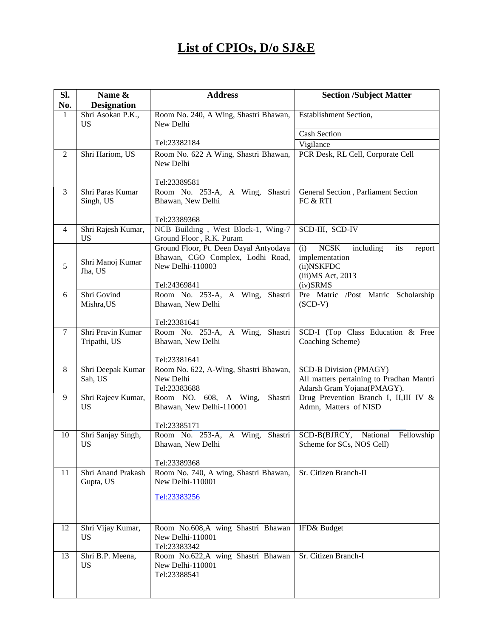## **List of CPIOs, D/o SJ&E**

| SI.            | Name &                          | <b>Address</b>                                                       | <b>Section /Subject Matter</b>                                   |
|----------------|---------------------------------|----------------------------------------------------------------------|------------------------------------------------------------------|
| No.            | <b>Designation</b>              |                                                                      |                                                                  |
| $\mathbf{1}$   | Shri Asokan P.K.,<br><b>US</b>  | Room No. 240, A Wing, Shastri Bhawan,<br>New Delhi                   | Establishment Section,                                           |
|                |                                 |                                                                      | <b>Cash Section</b>                                              |
|                |                                 | Tel:23382184                                                         | Vigilance                                                        |
| $\overline{2}$ | Shri Hariom, US                 | Room No. 622 A Wing, Shastri Bhawan,<br>New Delhi                    | PCR Desk, RL Cell, Corporate Cell                                |
|                |                                 | Tel:23389581                                                         |                                                                  |
| 3              | Shri Paras Kumar<br>Singh, US   | Room No. 253-A, A Wing, Shastri<br>Bhawan, New Delhi<br>Tel:23389368 | General Section, Parliament Section<br>FC & RTI                  |
| $\overline{4}$ | Shri Rajesh Kumar,              | NCB Building, West Block-1, Wing-7                                   | SCD-III, SCD-IV                                                  |
|                | US                              | Ground Floor, R.K. Puram                                             |                                                                  |
|                |                                 | Ground Floor, Pt. Deen Dayal Antyodaya                               | (i)<br><b>NCSK</b><br>including<br>its<br>report                 |
| 5              | Shri Manoj Kumar<br>Jha, US     | Bhawan, CGO Complex, Lodhi Road,<br>New Delhi-110003                 | implementation<br>(ii)NSKFDC                                     |
|                |                                 |                                                                      | (iii) MS Act, 2013                                               |
|                | Shri Govind                     | Tel:24369841                                                         | (iv)SRMS                                                         |
| 6              |                                 | Room No. 253-A, A Wing, Shastri<br>Bhawan, New Delhi                 | Pre Matric /Post Matric Scholarship<br>$(SCD-V)$                 |
|                | Mishra, US                      |                                                                      |                                                                  |
|                |                                 | Tel:23381641                                                         |                                                                  |
| $\overline{7}$ | Shri Pravin Kumar               | Room No. 253-A, A Wing,<br>Shastri                                   | SCD-I (Top Class Education & Free                                |
|                | Tripathi, US                    | Bhawan, New Delhi                                                    | Coaching Scheme)                                                 |
|                |                                 | Tel:23381641                                                         |                                                                  |
| $8\,$          | Shri Deepak Kumar               | Room No. 622, A-Wing, Shastri Bhawan,                                | SCD-B Division (PMAGY)                                           |
|                | Sah, US                         | New Delhi                                                            | All matters pertaining to Pradhan Mantri                         |
|                |                                 | Tel:23383688                                                         | Adarsh Gram Yojana(PMAGY).                                       |
| 9              | Shri Rajeev Kumar,<br>US        | Shastri<br>Room NO. 608, A Wing,<br>Bhawan, New Delhi-110001         | Drug Prevention Branch I, II,III IV &<br>Admn, Matters of NISD   |
|                |                                 |                                                                      |                                                                  |
|                |                                 | Tel:23385171                                                         |                                                                  |
| 10             | Shri Sanjay Singh,<br><b>US</b> | Room No. 253-A, A Wing, Shastri<br>Bhawan, New Delhi                 | SCD-B(BJRCY, National<br>Fellowship<br>Scheme for SCs, NOS Cell) |
|                |                                 | Tel:23389368                                                         |                                                                  |
| 11             | Shri Anand Prakash              | Room No. 740, A wing, Shastri Bhawan,                                | Sr. Citizen Branch-II                                            |
|                | Gupta, US                       | New Delhi-110001                                                     |                                                                  |
|                |                                 |                                                                      |                                                                  |
|                |                                 | Tel:23383256                                                         |                                                                  |
|                |                                 |                                                                      |                                                                  |
| 12             | Shri Vijay Kumar,               | Room No.608,A wing Shastri Bhawan                                    | IFD& Budget                                                      |
|                | US                              | New Delhi-110001                                                     |                                                                  |
|                |                                 | Tel:23383342                                                         |                                                                  |
| 13             | Shri B.P. Meena,                | Room No.622,A wing Shastri Bhawan                                    | Sr. Citizen Branch-I                                             |
|                | US                              | New Delhi-110001                                                     |                                                                  |
|                |                                 | Tel:23388541                                                         |                                                                  |
|                |                                 |                                                                      |                                                                  |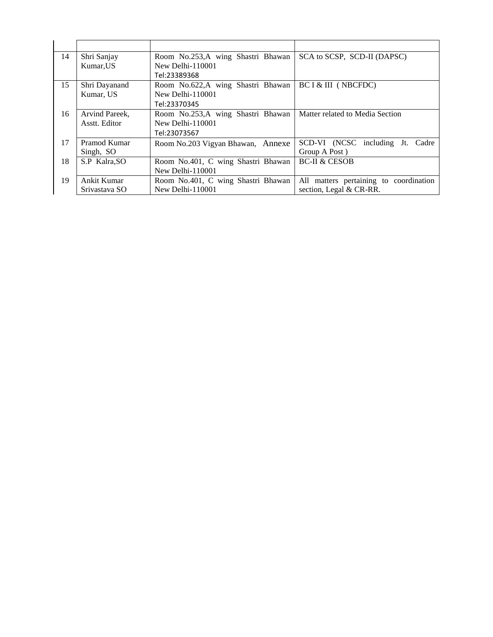| Shri Sanjay    | Room No.253,A wing Shastri Bhawan  | SCA to SCSP, SCD-II (DAPSC)            |
|----------------|------------------------------------|----------------------------------------|
| Kumar, US      | New Delhi-110001                   |                                        |
|                | Tel:23389368                       |                                        |
| Shri Dayanand  | Room No.622,A wing Shastri Bhawan  | BC I & III (NBCFDC)                    |
| Kumar, US      | New Delhi-110001                   |                                        |
|                | Tel:23370345                       |                                        |
| Arvind Pareek, | Room No.253,A wing Shastri Bhawan  | Matter related to Media Section        |
| Asstt. Editor  | New Delhi-110001                   |                                        |
|                | Tel:23073567                       |                                        |
| Pramod Kumar   | Room No.203 Vigyan Bhawan, Annexe  | SCD-VI (NCSC including Jt.<br>Cadre    |
| Singh, SO      |                                    | Group A Post)                          |
| S.P Kalra, SO  | Room No.401, C wing Shastri Bhawan | <b>BC-II &amp; CESOB</b>               |
|                | New Delhi-110001                   |                                        |
| Ankit Kumar    | Room No.401, C wing Shastri Bhawan | All matters pertaining to coordination |
| Srivastava SO  | New Delhi-110001                   | section, Legal & CR-RR.                |
|                |                                    |                                        |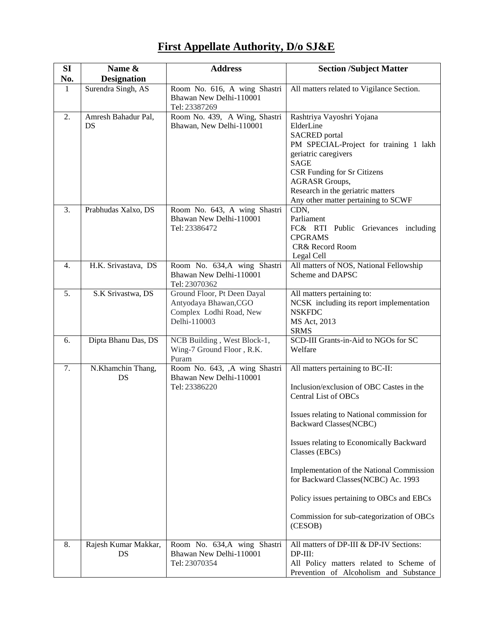## **First Appellate Authority, D/o SJ&E**

| SI           | Name &                     | <b>Address</b>                                                                                  | <b>Section /Subject Matter</b>                                                                                                                                                                                                                                                                                                                                                                                                                    |
|--------------|----------------------------|-------------------------------------------------------------------------------------------------|---------------------------------------------------------------------------------------------------------------------------------------------------------------------------------------------------------------------------------------------------------------------------------------------------------------------------------------------------------------------------------------------------------------------------------------------------|
| No.          | <b>Designation</b>         |                                                                                                 |                                                                                                                                                                                                                                                                                                                                                                                                                                                   |
| $\mathbf{1}$ | Surendra Singh, AS         | Room No. 616, A wing Shastri<br>Bhawan New Delhi-110001<br>Tel: 23387269                        | All matters related to Vigilance Section.                                                                                                                                                                                                                                                                                                                                                                                                         |
| 2.           | Amresh Bahadur Pal,<br>DS  | Room No. 439, A Wing, Shastri<br>Bhawan, New Delhi-110001                                       | Rashtriya Vayoshri Yojana<br>ElderLine<br><b>SACRED</b> portal<br>PM SPECIAL-Project for training 1 lakh<br>geriatric caregivers<br><b>SAGE</b><br><b>CSR Funding for Sr Citizens</b><br><b>AGRASR Groups,</b><br>Research in the geriatric matters<br>Any other matter pertaining to SCWF                                                                                                                                                        |
| 3.           | Prabhudas Xalxo, DS        | Room No. 643, A wing Shastri<br>Bhawan New Delhi-110001<br>Tel: 23386472                        | CDN,<br>Parliament<br>FC& RTI Public Grievances including<br><b>CPGRAMS</b><br>CR& Record Room<br>Legal Cell                                                                                                                                                                                                                                                                                                                                      |
| 4.           | H.K. Srivastava, DS        | Room No. 634,A wing Shastri<br>Bhawan New Delhi-110001<br>Tel: 23070362                         | All matters of NOS, National Fellowship<br>Scheme and DAPSC                                                                                                                                                                                                                                                                                                                                                                                       |
| 5.           | S.K Srivastwa, DS          | Ground Floor, Pt Deen Dayal<br>Antyodaya Bhawan, CGO<br>Complex Lodhi Road, New<br>Delhi-110003 | All matters pertaining to:<br>NCSK including its report implementation<br><b>NSKFDC</b><br>MS Act, 2013<br><b>SRMS</b>                                                                                                                                                                                                                                                                                                                            |
| 6.           | Dipta Bhanu Das, DS        | NCB Building, West Block-1,<br>Wing-7 Ground Floor, R.K.<br>Puram                               | SCD-III Grants-in-Aid to NGOs for SC<br>Welfare                                                                                                                                                                                                                                                                                                                                                                                                   |
| 7.           | N.Khamchin Thang,<br>DS    | Room No. 643, ,A wing Shastri<br>Bhawan New Delhi-110001<br>Tel: 23386220                       | All matters pertaining to BC-II:<br>Inclusion/exclusion of OBC Castes in the<br><b>Central List of OBCs</b><br>Issues relating to National commission for<br><b>Backward Classes(NCBC)</b><br>Issues relating to Economically Backward<br>Classes (EBCs)<br>Implementation of the National Commission<br>for Backward Classes(NCBC) Ac. 1993<br>Policy issues pertaining to OBCs and EBCs<br>Commission for sub-categorization of OBCs<br>(CESOB) |
| 8.           | Rajesh Kumar Makkar,<br>DS | Room No. 634,A wing Shastri<br>Bhawan New Delhi-110001<br>Tel: 23070354                         | All matters of DP-III & DP-IV Sections:<br>$DP-III$ :<br>All Policy matters related to Scheme of<br>Prevention of Alcoholism and Substance                                                                                                                                                                                                                                                                                                        |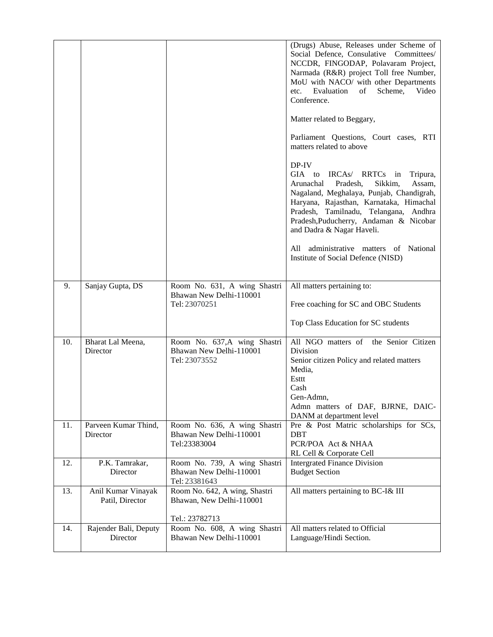|     |                                       |                                                                          | (Drugs) Abuse, Releases under Scheme of<br>Social Defence, Consulative Committees/<br>NCCDR, FINGODAP, Polavaram Project,<br>Narmada (R&R) project Toll free Number,<br>MoU with NACO/ with other Departments<br>Scheme,<br>etc.<br>Evaluation<br>of<br>Video<br>Conference.<br>Matter related to Beggary,<br>Parliament Questions, Court cases, RTI<br>matters related to above<br>DP-IV<br>GIA<br>IRCAs/<br>RRTCs in<br>to<br>Tripura,<br>Arunachal<br>Sikkim,<br>Assam,<br>Pradesh,<br>Nagaland, Meghalaya, Punjab, Chandigrah,<br>Haryana, Rajasthan, Karnataka, Himachal<br>Pradesh, Tamilnadu, Telangana, Andhra<br>Pradesh, Puducherry, Andaman & Nicobar<br>and Dadra & Nagar Haveli.<br>administrative matters of National<br>All<br>Institute of Social Defence (NISD) |
|-----|---------------------------------------|--------------------------------------------------------------------------|----------------------------------------------------------------------------------------------------------------------------------------------------------------------------------------------------------------------------------------------------------------------------------------------------------------------------------------------------------------------------------------------------------------------------------------------------------------------------------------------------------------------------------------------------------------------------------------------------------------------------------------------------------------------------------------------------------------------------------------------------------------------------------|
| 9.  | Sanjay Gupta, DS                      | Room No. 631, A wing Shastri<br>Bhawan New Delhi-110001                  | All matters pertaining to:                                                                                                                                                                                                                                                                                                                                                                                                                                                                                                                                                                                                                                                                                                                                                       |
|     |                                       | Tel: 23070251                                                            | Free coaching for SC and OBC Students                                                                                                                                                                                                                                                                                                                                                                                                                                                                                                                                                                                                                                                                                                                                            |
|     |                                       |                                                                          | Top Class Education for SC students                                                                                                                                                                                                                                                                                                                                                                                                                                                                                                                                                                                                                                                                                                                                              |
| 10. | Bharat Lal Meena,<br>Director         | Room No. 637, A wing Shastri<br>Bhawan New Delhi-110001<br>Tel: 23073552 | All NGO matters of the Senior Citizen<br>Division<br>Senior citizen Policy and related matters<br>Media,<br>Esttt<br>Cash<br>Gen-Admn,<br>Admn matters of DAF, BJRNE, DAIC-<br>DANM at department level                                                                                                                                                                                                                                                                                                                                                                                                                                                                                                                                                                          |
| 11. | Parveen Kumar Thind,<br>Director      | Room No. 636, A wing Shastri<br>Bhawan New Delhi-110001<br>Tel:23383004  | Pre & Post Matric scholarships for SCs,<br><b>DBT</b><br>PCR/POA Act & NHAA<br>RL Cell & Corporate Cell                                                                                                                                                                                                                                                                                                                                                                                                                                                                                                                                                                                                                                                                          |
| 12. | P.K. Tamrakar,<br>Director            | Room No. 739, A wing Shastri<br>Bhawan New Delhi-110001<br>Tel: 23381643 | <b>Intergrated Finance Division</b><br><b>Budget Section</b>                                                                                                                                                                                                                                                                                                                                                                                                                                                                                                                                                                                                                                                                                                                     |
| 13. | Anil Kumar Vinayak<br>Patil, Director | Room No. 642, A wing, Shastri<br>Bhawan, New Delhi-110001                | All matters pertaining to BC-I& III                                                                                                                                                                                                                                                                                                                                                                                                                                                                                                                                                                                                                                                                                                                                              |
| 14. |                                       | Tel.: 23782713<br>Room No. 608, A wing Shastri                           | All matters related to Official                                                                                                                                                                                                                                                                                                                                                                                                                                                                                                                                                                                                                                                                                                                                                  |
|     | Rajender Bali, Deputy<br>Director     | Bhawan New Delhi-110001                                                  | Language/Hindi Section.                                                                                                                                                                                                                                                                                                                                                                                                                                                                                                                                                                                                                                                                                                                                                          |